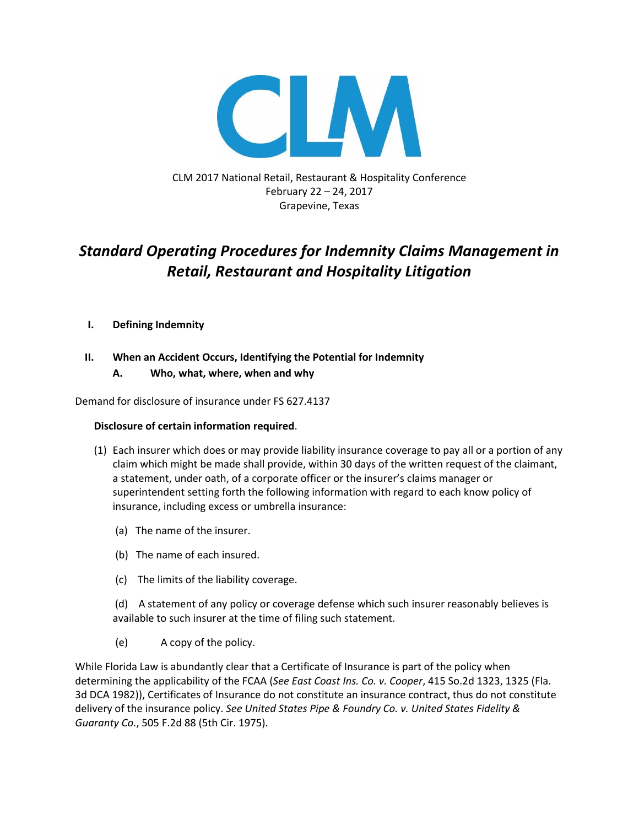

CLM 2017 National Retail, Restaurant & Hospitality Conference February 22 – 24, 2017 Grapevine, Texas

# *Standard Operating Procedures for Indemnity Claims Management in Retail, Restaurant and Hospitality Litigation*

# **I. Defining Indemnity**

# **II. When an Accident Occurs, Identifying the Potential for Indemnity**

# **A. Who, what, where, when and why**

Demand for disclosure of insurance under FS 627.4137

## **Disclosure of certain information required**.

- (1) Each insurer which does or may provide liability insurance coverage to pay all or a portion of any claim which might be made shall provide, within 30 days of the written request of the claimant, a statement, under oath, of a corporate officer or the insurer's claims manager or superintendent setting forth the following information with regard to each know policy of insurance, including excess or umbrella insurance:
	- (a) The name of the insurer.
	- (b) The name of each insured.
	- (c) The limits of the liability coverage.

(d) A statement of any policy or coverage defense which such insurer reasonably believes is available to such insurer at the time of filing such statement.

(e) A copy of the policy.

While Florida Law is abundantly clear that a Certificate of Insurance is part of the policy when determining the applicability of the FCAA (*See East Coast Ins. Co. v. Cooper*, 415 So.2d 1323, 1325 (Fla. 3d DCA 1982)), Certificates of Insurance do not constitute an insurance contract, thus do not constitute delivery of the insurance policy. *See United States Pipe & Foundry Co. v. United States Fidelity & Guaranty Co.*, 505 F.2d 88 (5th Cir. 1975).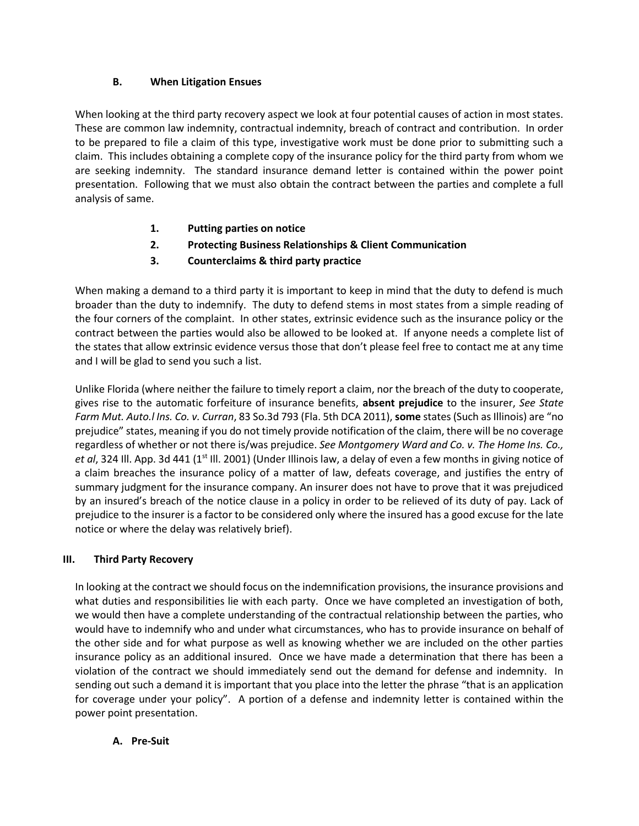# **B. When Litigation Ensues**

When looking at the third party recovery aspect we look at four potential causes of action in most states. These are common law indemnity, contractual indemnity, breach of contract and contribution. In order to be prepared to file a claim of this type, investigative work must be done prior to submitting such a claim. This includes obtaining a complete copy of the insurance policy for the third party from whom we are seeking indemnity. The standard insurance demand letter is contained within the power point presentation. Following that we must also obtain the contract between the parties and complete a full analysis of same.

- **1. Putting parties on notice**
- **2. Protecting Business Relationships & Client Communication**
- **3. Counterclaims & third party practice**

When making a demand to a third party it is important to keep in mind that the duty to defend is much broader than the duty to indemnify. The duty to defend stems in most states from a simple reading of the four corners of the complaint. In other states, extrinsic evidence such as the insurance policy or the contract between the parties would also be allowed to be looked at. If anyone needs a complete list of the states that allow extrinsic evidence versus those that don't please feel free to contact me at any time and I will be glad to send you such a list.

Unlike Florida (where neither the failure to timely report a claim, nor the breach of the duty to cooperate, gives rise to the automatic forfeiture of insurance benefits, **absent prejudice** to the insurer, *See State Farm Mut. Auto.l Ins. Co. v. Curran*, 83 So.3d 793 (Fla. 5th DCA 2011), **some** states (Such as Illinois) are "no prejudice" states, meaning if you do not timely provide notification of the claim, there will be no coverage regardless of whether or not there is/was prejudice. *See Montgomery Ward and Co. v. The Home Ins. Co., et al*, 324 Ill. App. 3d 441 (1<sup>st</sup> Ill. 2001) (Under Illinois law, a delay of even a few months in giving notice of a claim breaches the insurance policy of a matter of law, defeats coverage, and justifies the entry of summary judgment for the insurance company. An insurer does not have to prove that it was prejudiced by an insured's breach of the notice clause in a policy in order to be relieved of its duty of pay. Lack of prejudice to the insurer is a factor to be considered only where the insured has a good excuse for the late notice or where the delay was relatively brief).

# **III. Third Party Recovery**

In looking at the contract we should focus on the indemnification provisions, the insurance provisions and what duties and responsibilities lie with each party. Once we have completed an investigation of both, we would then have a complete understanding of the contractual relationship between the parties, who would have to indemnify who and under what circumstances, who has to provide insurance on behalf of the other side and for what purpose as well as knowing whether we are included on the other parties insurance policy as an additional insured. Once we have made a determination that there has been a violation of the contract we should immediately send out the demand for defense and indemnity. In sending out such a demand it is important that you place into the letter the phrase "that is an application for coverage under your policy". A portion of a defense and indemnity letter is contained within the power point presentation.

**A. Pre-Suit**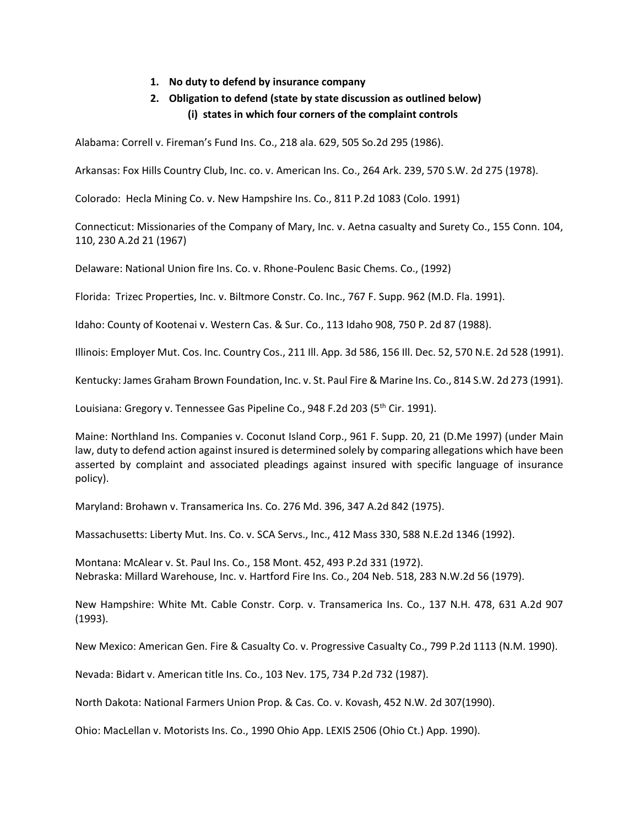## **1. No duty to defend by insurance company**

# **2. Obligation to defend (state by state discussion as outlined below) (i) states in which four corners of the complaint controls**

Alabama: Correll v. Fireman's Fund Ins. Co., 218 ala. 629, 505 So.2d 295 (1986).

Arkansas: Fox Hills Country Club, Inc. co. v. American Ins. Co., 264 Ark. 239, 570 S.W. 2d 275 (1978).

Colorado: Hecla Mining Co. v. New Hampshire Ins. Co., 811 P.2d 1083 (Colo. 1991)

Connecticut: Missionaries of the Company of Mary, Inc. v. Aetna casualty and Surety Co., 155 Conn. 104, 110, 230 A.2d 21 (1967)

Delaware: National Union fire Ins. Co. v. Rhone-Poulenc Basic Chems. Co., (1992)

Florida: Trizec Properties, Inc. v. Biltmore Constr. Co. Inc., 767 F. Supp. 962 (M.D. Fla. 1991).

Idaho: County of Kootenai v. Western Cas. & Sur. Co., 113 Idaho 908, 750 P. 2d 87 (1988).

Illinois: Employer Mut. Cos. Inc. Country Cos., 211 Ill. App. 3d 586, 156 Ill. Dec. 52, 570 N.E. 2d 528 (1991).

Kentucky: James Graham Brown Foundation, Inc. v. St. Paul Fire & Marine Ins. Co., 814 S.W. 2d 273 (1991).

Louisiana: Gregory v. Tennessee Gas Pipeline Co., 948 F.2d 203 (5<sup>th</sup> Cir. 1991).

Maine: Northland Ins. Companies v. Coconut Island Corp., 961 F. Supp. 20, 21 (D.Me 1997) (under Main law, duty to defend action against insured is determined solely by comparing allegations which have been asserted by complaint and associated pleadings against insured with specific language of insurance policy).

Maryland: Brohawn v. Transamerica Ins. Co. 276 Md. 396, 347 A.2d 842 (1975).

Massachusetts: Liberty Mut. Ins. Co. v. SCA Servs., Inc., 412 Mass 330, 588 N.E.2d 1346 (1992).

Montana: McAlear v. St. Paul Ins. Co., 158 Mont. 452, 493 P.2d 331 (1972). Nebraska: Millard Warehouse, Inc. v. Hartford Fire Ins. Co., 204 Neb. 518, 283 N.W.2d 56 (1979).

New Hampshire: White Mt. Cable Constr. Corp. v. Transamerica Ins. Co., 137 N.H. 478, 631 A.2d 907 (1993).

New Mexico: American Gen. Fire & Casualty Co. v. Progressive Casualty Co., 799 P.2d 1113 (N.M. 1990).

Nevada: Bidart v. American title Ins. Co., 103 Nev. 175, 734 P.2d 732 (1987).

North Dakota: National Farmers Union Prop. & Cas. Co. v. Kovash, 452 N.W. 2d 307(1990).

Ohio: MacLellan v. Motorists Ins. Co., 1990 Ohio App. LEXIS 2506 (Ohio Ct.) App. 1990).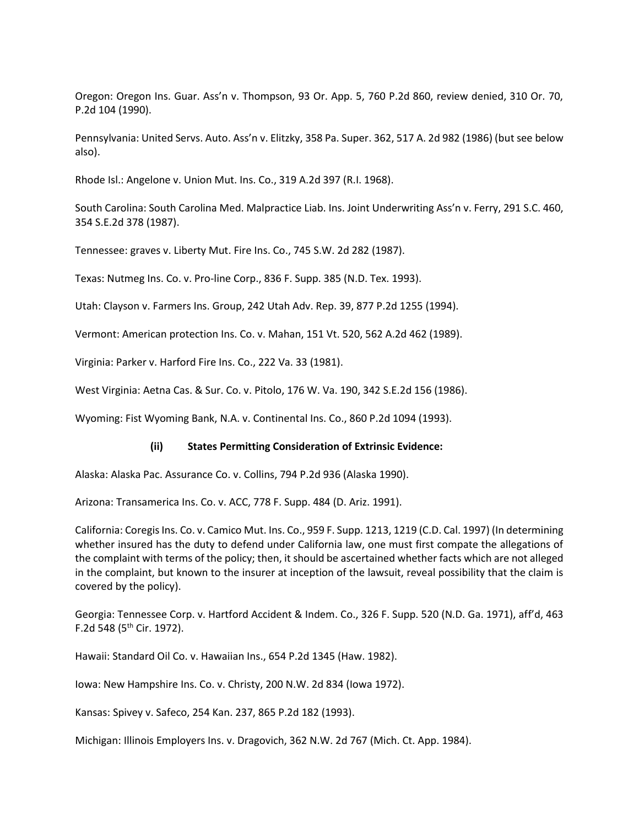Oregon: Oregon Ins. Guar. Ass'n v. Thompson, 93 Or. App. 5, 760 P.2d 860, review denied, 310 Or. 70, P.2d 104 (1990).

Pennsylvania: United Servs. Auto. Ass'n v. Elitzky, 358 Pa. Super. 362, 517 A. 2d 982 (1986) (but see below also).

Rhode Isl.: Angelone v. Union Mut. Ins. Co., 319 A.2d 397 (R.I. 1968).

South Carolina: South Carolina Med. Malpractice Liab. Ins. Joint Underwriting Ass'n v. Ferry, 291 S.C. 460, 354 S.E.2d 378 (1987).

Tennessee: graves v. Liberty Mut. Fire Ins. Co., 745 S.W. 2d 282 (1987).

Texas: Nutmeg Ins. Co. v. Pro-line Corp., 836 F. Supp. 385 (N.D. Tex. 1993).

Utah: Clayson v. Farmers Ins. Group, 242 Utah Adv. Rep. 39, 877 P.2d 1255 (1994).

Vermont: American protection Ins. Co. v. Mahan, 151 Vt. 520, 562 A.2d 462 (1989).

Virginia: Parker v. Harford Fire Ins. Co., 222 Va. 33 (1981).

West Virginia: Aetna Cas. & Sur. Co. v. Pitolo, 176 W. Va. 190, 342 S.E.2d 156 (1986).

Wyoming: Fist Wyoming Bank, N.A. v. Continental Ins. Co., 860 P.2d 1094 (1993).

#### **(ii) States Permitting Consideration of Extrinsic Evidence:**

Alaska: Alaska Pac. Assurance Co. v. Collins, 794 P.2d 936 (Alaska 1990).

Arizona: Transamerica Ins. Co. v. ACC, 778 F. Supp. 484 (D. Ariz. 1991).

California: Coregis Ins. Co. v. Camico Mut. Ins. Co., 959 F. Supp. 1213, 1219 (C.D. Cal. 1997) (In determining whether insured has the duty to defend under California law, one must first compate the allegations of the complaint with terms of the policy; then, it should be ascertained whether facts which are not alleged in the complaint, but known to the insurer at inception of the lawsuit, reveal possibility that the claim is covered by the policy).

Georgia: Tennessee Corp. v. Hartford Accident & Indem. Co., 326 F. Supp. 520 (N.D. Ga. 1971), aff'd, 463 F.2d 548 (5<sup>th</sup> Cir. 1972).

Hawaii: Standard Oil Co. v. Hawaiian Ins., 654 P.2d 1345 (Haw. 1982).

Iowa: New Hampshire Ins. Co. v. Christy, 200 N.W. 2d 834 (Iowa 1972).

Kansas: Spivey v. Safeco, 254 Kan. 237, 865 P.2d 182 (1993).

Michigan: Illinois Employers Ins. v. Dragovich, 362 N.W. 2d 767 (Mich. Ct. App. 1984).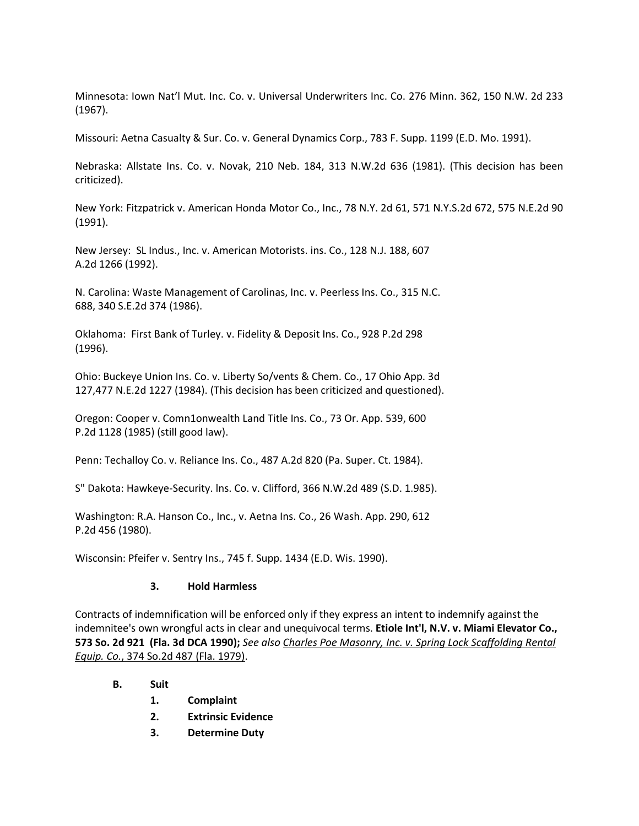Minnesota: Iown Nat'l Mut. Inc. Co. v. Universal Underwriters Inc. Co. 276 Minn. 362, 150 N.W. 2d 233 (1967).

Missouri: Aetna Casualty & Sur. Co. v. General Dynamics Corp., 783 F. Supp. 1199 (E.D. Mo. 1991).

Nebraska: Allstate Ins. Co. v. Novak, 210 Neb. 184, 313 N.W.2d 636 (1981). (This decision has been criticized).

New York: Fitzpatrick v. American Honda Motor Co., Inc., 78 N.Y. 2d 61, 571 N.Y.S.2d 672, 575 N.E.2d 90 (1991).

New Jersey: SL Indus., Inc. v. American Motorists. ins. Co., 128 N.J. 188, 607 A.2d 1266 (1992).

N. Carolina: Waste Management of Carolinas, Inc. v. Peerless Ins. Co., 315 N.C. 688, 340 S.E.2d 374 (1986).

Oklahoma: First Bank of Turley. v. Fidelity & Deposit Ins. Co., 928 P.2d 298 (1996).

Ohio: Buckeye Union Ins. Co. v. Liberty So/vents & Chem. Co., 17 Ohio App. 3d 127,477 N.E.2d 1227 (1984). (This decision has been criticized and questioned).

Oregon: Cooper v. Comn1onwealth Land Title Ins. Co., 73 Or. App. 539, 600 P.2d 1128 (1985) (still good law).

Penn: Techalloy Co. v. Reliance Ins. Co., 487 A.2d 820 (Pa. Super. Ct. 1984).

S" Dakota: Hawkeye-Security. lns. Co. v. Clifford, 366 N.W.2d 489 (S.D. 1.985).

Washington: R.A. Hanson Co., Inc., v. Aetna Ins. Co., 26 Wash. App. 290, 612 P.2d 456 (1980).

Wisconsin: Pfeifer v. Sentry Ins., 745 f. Supp. 1434 (E.D. Wis. 1990).

## **3. Hold Harmless**

Contracts of indemnification will be enforced only if they express an intent to indemnify against the indemnitee's own wrongful acts in clear and unequivocal terms. **Etiole Int'l, N.V. v. Miami Elevator Co., 573 So. 2d 921 (Fla. 3d DCA 1990);** *See also [Charles Poe Masonry, Inc. v. Spring Lock Scaffolding Rental](https://www.lexis.com/research/buttonTFLink?_m=8de0cb4f635de18629a2925e9091ab35&_xfercite=%3ccite%20cc=%22USA%22%3e%3c!%5bCDATA%5b573%20So.%202d%20921%5d%5d%3e%3c/cite%3e&_butType=3&_butStat=2&_butNum=3&_butInline=1&_butinfo=%3ccite%20cc=%22USA%22%3e%3c!%5bCDATA%5b374%20So.%202d%20487%5d%5d%3e%3c/cite%3e&_fmtstr=FULL&docnum=2&_startdoc=1&wchp=dGLbVzV-zSkAW&_md5=6f92d969c78f1b87134b1c6890affd3e)  [Equip. Co.](https://www.lexis.com/research/buttonTFLink?_m=8de0cb4f635de18629a2925e9091ab35&_xfercite=%3ccite%20cc=%22USA%22%3e%3c!%5bCDATA%5b573%20So.%202d%20921%5d%5d%3e%3c/cite%3e&_butType=3&_butStat=2&_butNum=3&_butInline=1&_butinfo=%3ccite%20cc=%22USA%22%3e%3c!%5bCDATA%5b374%20So.%202d%20487%5d%5d%3e%3c/cite%3e&_fmtstr=FULL&docnum=2&_startdoc=1&wchp=dGLbVzV-zSkAW&_md5=6f92d969c78f1b87134b1c6890affd3e)*[, 374 So.2d 487 \(Fla. 1979\).](https://www.lexis.com/research/buttonTFLink?_m=8de0cb4f635de18629a2925e9091ab35&_xfercite=%3ccite%20cc=%22USA%22%3e%3c!%5bCDATA%5b573%20So.%202d%20921%5d%5d%3e%3c/cite%3e&_butType=3&_butStat=2&_butNum=3&_butInline=1&_butinfo=%3ccite%20cc=%22USA%22%3e%3c!%5bCDATA%5b374%20So.%202d%20487%5d%5d%3e%3c/cite%3e&_fmtstr=FULL&docnum=2&_startdoc=1&wchp=dGLbVzV-zSkAW&_md5=6f92d969c78f1b87134b1c6890affd3e)

## **B. Suit**

- **1. Complaint**
- **2. Extrinsic Evidence**
- **3. Determine Duty**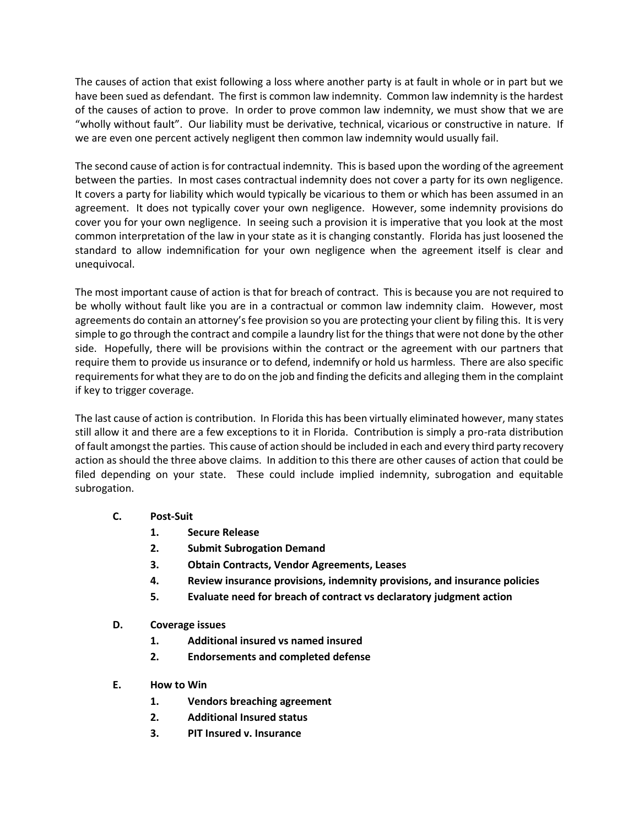The causes of action that exist following a loss where another party is at fault in whole or in part but we have been sued as defendant. The first is common law indemnity. Common law indemnity is the hardest of the causes of action to prove. In order to prove common law indemnity, we must show that we are "wholly without fault". Our liability must be derivative, technical, vicarious or constructive in nature. If we are even one percent actively negligent then common law indemnity would usually fail.

The second cause of action is for contractual indemnity. This is based upon the wording of the agreement between the parties. In most cases contractual indemnity does not cover a party for its own negligence. It covers a party for liability which would typically be vicarious to them or which has been assumed in an agreement. It does not typically cover your own negligence. However, some indemnity provisions do cover you for your own negligence. In seeing such a provision it is imperative that you look at the most common interpretation of the law in your state as it is changing constantly. Florida has just loosened the standard to allow indemnification for your own negligence when the agreement itself is clear and unequivocal.

The most important cause of action is that for breach of contract. This is because you are not required to be wholly without fault like you are in a contractual or common law indemnity claim. However, most agreements do contain an attorney's fee provision so you are protecting your client by filing this. It is very simple to go through the contract and compile a laundry list for the things that were not done by the other side. Hopefully, there will be provisions within the contract or the agreement with our partners that require them to provide us insurance or to defend, indemnify or hold us harmless. There are also specific requirements for what they are to do on the job and finding the deficits and alleging them in the complaint if key to trigger coverage.

The last cause of action is contribution. In Florida this has been virtually eliminated however, many states still allow it and there are a few exceptions to it in Florida. Contribution is simply a pro-rata distribution of fault amongst the parties. This cause of action should be included in each and every third party recovery action as should the three above claims. In addition to this there are other causes of action that could be filed depending on your state. These could include implied indemnity, subrogation and equitable subrogation.

- **C. Post-Suit**
	- **1. Secure Release**
	- **2. Submit Subrogation Demand**
	- **3. Obtain Contracts, Vendor Agreements, Leases**
	- **4. Review insurance provisions, indemnity provisions, and insurance policies**
	- **5. Evaluate need for breach of contract vs declaratory judgment action**
- **D. Coverage issues**
	- **1. Additional insured vs named insured**
	- **2. Endorsements and completed defense**
- **E. How to Win**
	- **1. Vendors breaching agreement**
	- **2. Additional Insured status**
	- **3. PIT Insured v. Insurance**